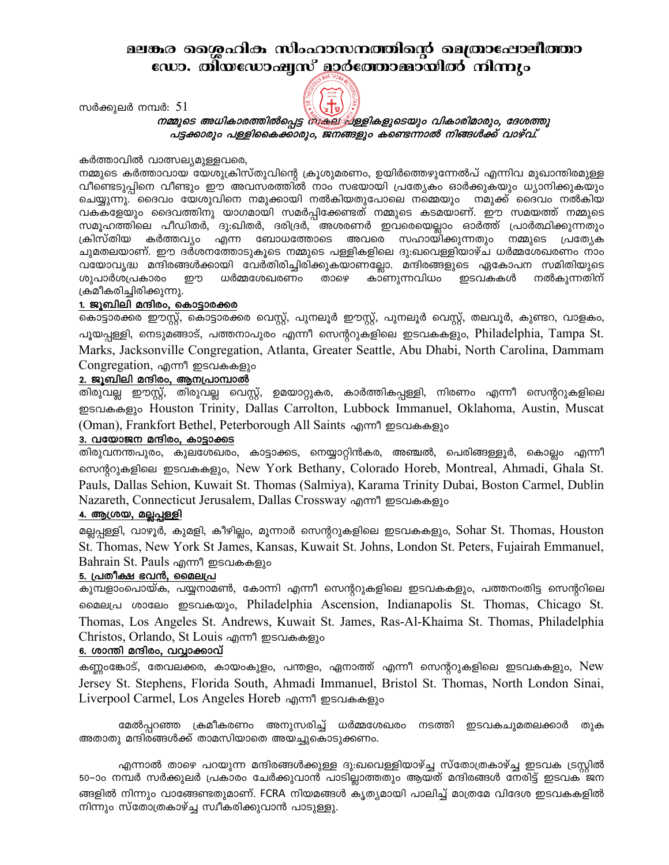# മലങ്കര തെശ്രഹിക സിംഹാസനത്തിന്റെ മെത്രാഷോലീത്താ ഡോ. തിയഡോഷ്യസ് മാർത്തോമ്മായിൽ നിന്നും

സർക്കുലർ നമ്പർ:  $51$ 



# നമ്മുടെ അധികാരത്തിൽപ്പെട്ട ഷെക്ഷ്യിള്ളികളുടെയും വികാരിമാരും, ദേശത്തു പട്ടക്കാരും പള്ളികൈക്കാരും, ജനങ്ങളും കണ്ടെന്നാൽ നിങ്ങൾക്ക് വാഴ്വ്.

#### കർത്താവിൽ വാത്സല്യമുള്ളവരെ,

നമ്മുടെ കർത്താവായ യേശുക്രിസ്തുവിന്റെ ക്രൂശുമരണം, ഉയിർത്തെഴുന്നേൽപ് എന്നിവ മുഖാന്തിരമുള്ള വീണ്ടെടുപ്പിനെ വീണ്ടും ഈ അവസരത്തിൽ നാം സഭയായി പ്രത്യേകം ഓർക്കുകയും ധ്യാനിക്കുകയും ചെയ്യുന്നു. ദൈവം യേശുവിനെ നമുക്കായി നൽകിയതുപോലെ നമ്മെയും നമുക്ക് ദൈവം നൽകിയ വകകളേയും ദൈവത്തിനു യാഗമായി സമർപ്പിക്കേണ്ടത് നമ്മുടെ കടമയാണ്. ഈ സമയത്ത് നമ്മുടെ സമൂഹത്തിലെ പീഡിതർ, ദു:ഖിതർ, ദരിദ്രർ, അശരണർ ഇവരെയെല്ലാം ഓർത്ത് പ്രാർത്ഥിക്കുന്നതും ക്രിസ്തിയ കർത്തവ്യം എന്ന ബോധത്തോടെ അവരെ സഹായിക്കുന്നതും നമ്മുടെ പ്രത്യേക ചുമതലയാണ്. ഈ ദർശനത്തോടുകൂടെ നമ്മുടെ പള്ളികളിലെ ദു:ഖവെള്ളിയാഴ്ച ധർമ്മശേഖരണം നാം വയോവൃദ്ധ മന്ദിരങ്ങൾക്കായി വേർതിരിച്ചിരിക്കുകയാണല്ലോ. മന്ദിരങ്ങളുടെ ഏകോപന സമിതിയുടെ ശുപാർശപ്രകാരം றற ധർമ്മശേഖരണം താഴെ കാണുന്നവിധം ഇടവകകൾ നൽകുന്നതിന് ക്രമീകരിച്ചിരിക്കുന്നു.

#### 1. ജൂബിലി മന്ദിരം, കൊട്ടാരക്കര

കൊട്ടാരക്കര ഈസ്റ്റ്, കൊട്ടാരക്കര വെസ്റ്റ്, പുനലൂർ ഈസ്റ്റ്, പുനലൂർ വെസ്റ്റ്, തലവൂർ, കുണ്ടറ, വാളകം, പൂയപ്പള്ളി, നെടുമങ്ങാട്, പത്തനാപുരം എന്നീ സെന്ററുകളിലെ ഇടവകകളും, Philadelphia, Tampa St. Marks, Jacksonville Congregation, Atlanta, Greater Seattle, Abu Dhabi, North Carolina, Dammam Congregation, എന്നീ ഇടവകകളും

### 2. ജൂബിലി മന്ദിരം, ആനപ്രാമ്പാൽ

തിരുവല്ല ഈസ്റ്റ്, തിരുവല്ല വെസ്റ്റ്, ഉമയാറ്റുകര, കാർത്തികപ്പള്ളി, നിരണം എന്നീ സെന്ററുകളിലെ ஐஸ்க்கலை Houston Trinity, Dallas Carrolton, Lubbock Immanuel, Oklahoma, Austin, Muscat (Oman), Frankfort Bethel, Peterborough All Saints എന്നീ ഇടവകകളും

#### 3. വയോജന മന്ദിരം, കാട്ടാക്കട

തിരുവനന്തപുരം, കുലശേഖരം, കാട്ടാക്കട, നെയ്യാറ്റിൻകര, അഞ്ചൽ, പെരിങ്ങള്ളൂർ, കൊല്ലം എന്നീ സെന്ററുകളിലെ ഇടവകകളും, New York Bethany, Colorado Horeb, Montreal, Ahmadi, Ghala St. Pauls, Dallas Sehion, Kuwait St. Thomas (Salmiya), Karama Trinity Dubai, Boston Carmel, Dublin Nazareth, Connecticut Jerusalem, Dallas Crossway എന്നീ ഇടവകകളും

#### <u>4. ആശ്രയ, മല്ലപ്പള്ളി</u>

മല്ലപ്പള്ളി, വാഴൂർ, കുമളി, കീഴില്ലം, മൂന്നാർ സെന്ററുകളിലെ ഇടവകകളും, Sohar St. Thomas, Houston St. Thomas, New York St James, Kansas, Kuwait St. Johns, London St. Peters, Fujairah Emmanuel, Bahrain St. Pauls എന്നീ ഇടവകകളും

#### 5. പ്രതീക്ഷ ഭവൻ, മൈലപ്ര

കുമ്പളാംപൊയ്ക, പയ്യനാമൺ, കോന്നി എന്നീ സെന്ററുകളിലെ ഇടവകകളും, പത്തനംതിട്ട സെന്ററിലെ 600 meta 6000 meta 900 meta 6.000 meta 6.000 meta 6.000 meta 6.000 meta 6.000 meta 6.000 meta 6.000 meta 6.000 Thomas, Los Angeles St. Andrews, Kuwait St. James, Ras-Al-Khaima St. Thomas, Philadelphia Christos, Orlando, St Louis എന്നീ ഇടവകകളും

#### 6. ശാന്തി മന്ദിരം, വവ്വാക്കാവ്

കണ്ണംങ്കോട്, തേവലക്കര, കായംകുളം, പന്തളം, ഏനാത്ത് എന്നീ സെന്ററുകളിലെ ഇടവകകളും, New Jersey St. Stephens, Florida South, Ahmadi Immanuel, Bristol St. Thomas, North London Sinai, Liverpool Carmel, Los Angeles Horeb എന്നീ ഇടവകകളും

മേൽപ്പറഞ്ഞ ക്രമീകരണം അനുസരിച്ച് ധർമ്മശേഖരം നടത്തി ഇടവകചുമതലക്കാർ തുക അതാതു മന്ദിരങ്ങൾക്ക് താമസിയാതെ അയച്ചുകൊടുക്കണം.

എന്നാൽ താഴെ പറയുന്ന മന്ദിരങ്ങൾക്കുള്ള ദു:ഖവെള്ളിയാഴ്ച്ച സ്തോത്രകാഴ്ച്ച ഇടവക ട്രസ്റ്റിൽ 50–ാം നമ്പർ സർക്കുലർ പ്രകാരം ചേർക്കുവാൻ പാടില്ലാത്തതും ആയത് മന്ദിരങ്ങൾ നേരിട്ട് ഇടവക<sup>്</sup>ജന ങ്ങളിൽ നിന്നും വാങ്ങേണ്ടതുമാണ്. FCRA നിയമങ്ങൾ കൃത്യമായി പാലിച്ച് മാത്രമേ വിദേശ ഇടവകകളിൽ നിന്നും സ്തോത്രകാഴ്ച്ച സ്വീകരിക്കുവാൻ പാടുള്ളു.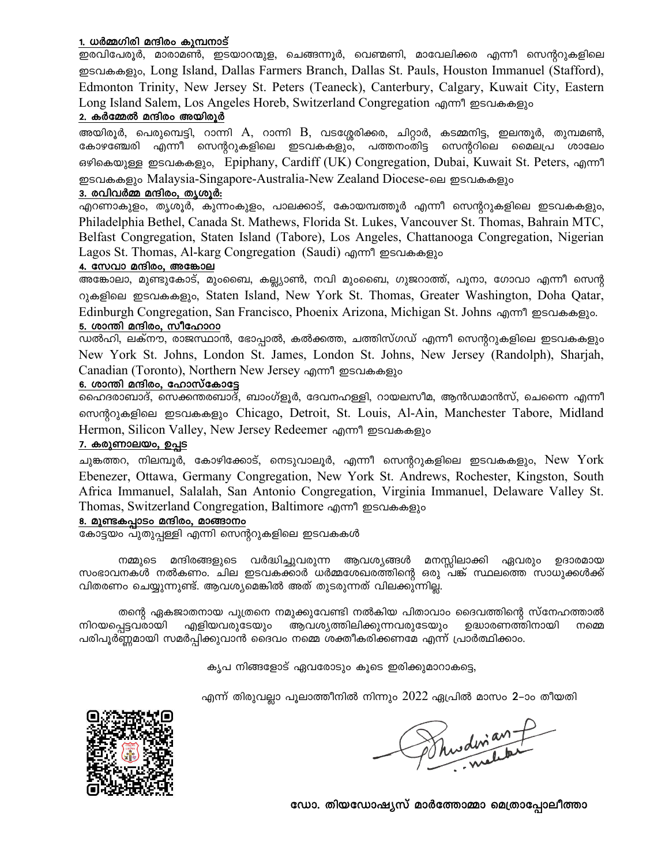#### 1. ധർമ്മഗിരി മന്ദിരം കുമ്പനാട്

ഇരവിപേരൂർ, മാരാമൺ, ഇടയാറന്മുള, ചെങ്ങന്നൂർ, വെണ്മണി, മാവേലിക്കര എന്നീ സെന്ററുകളിലെ ഇടവകകളും, Long Island, Dallas Farmers Branch, Dallas St. Pauls, Houston Immanuel (Stafford), Edmonton Trinity, New Jersey St. Peters (Teaneck), Canterbury, Calgary, Kuwait City, Eastern Long Island Salem, Los Angeles Horeb, Switzerland Congregation എന്നീ ഇടവകകളും

### 2. കർമ്മേൽ മന്ദിരം അയിരൂർ

അയിരൂർ, പെരുമ്പെട്ടി, റാന്നി A, റാന്നി B, വടശ്ശേരിക്കര, ചിറ്റാർ, കടമ്മനിട്ട, ഇലന്തൂർ, തുമ്പമൺ, കോഴഞ്ചേരി എന്നീ സെന്ററുകളിലെ ഇടവകകളും, പത്തനംതിട്ട സെന്ററിലെ മൈലപ്ര ശാലേം ഒഴികെയുള്ള ഇടവകകളും, Epiphany, Cardiff (UK) Congregation, Dubai, Kuwait St. Peters, എന്നീ ഇടവകകളും Malaysia-Singapore-Australia-New Zealand Diocese-ലെ ഇടവകകളും

#### 3. രവിവർമ്മ മന്ദിരം, തൃശൂർ:

എറണാകുളം, തൃശൂർ, കുന്നംകുളം, പാലക്കാട്, കോയമ്പത്തൂർ എന്നീ സെന്ററുകളിലെ ഇടവകകളും, Philadelphia Bethel, Canada St. Mathews, Florida St. Lukes, Vancouver St. Thomas, Bahrain MTC, Belfast Congregation, Staten Island (Tabore), Los Angeles, Chattanooga Congregation, Nigerian Lagos St. Thomas, Al-karg Congregation (Saudi) എന്നീ ഇടവകകളും

### 4. സേവാ മന്ദിരം, അങ്കോല

അങ്കോലാ, മുണ്ടുകോട്, മുംബൈ, കല്ല്യാൺ, നവി മുംബൈ, ഗുജറാത്ത്, പൂനാ, ഗോവാ എന്നീ സെന്റ റുകളിലെ ഇടവകകളും, Staten Island, New York St. Thomas, Greater Washington, Doha Qatar, Edinburgh Congregation, San Francisco, Phoenix Arizona, Michigan St. Johns എന്നീ ഇടവകകളും. 5. ശാന്തി മന്ദിരം, സീഹോറാ

ഡൽഹി, ലക്നൗ, രാജസ്ഥാൻ, ഭോപ്പാൽ, കൽക്കത്ത, ചത്തിസ്ഗഡ് എന്നീ സെന്ററുകളിലെ ഇടവകകളും New York St. Johns, London St. James, London St. Johns, New Jersey (Randolph), Sharjah, Canadian (Toronto), Northern New Jersey എന്നീ ഇടവകകളും

#### 6. ശാന്തി മന്ദിരം, ഹോസ്കോട്ടേ

.<br>ഹൈദരാബാദ്, സെക്കന്തരബാദ്, ബാംഗ്ളൂർ, ദേവനഹള്ളി, റായലസീമ, ആൻഡമാൻസ്, ചെന്നൈ എന്നീ n nondo as mediate metal and proper samples of metal and the metal chiese position of the move, and and a move Hermon, Silicon Valley, New Jersey Redeemer എന്നീ ഇടവകകളും

#### 7. കരുണാലയം, ഉപ്പട

ചുങ്കത്തറ, നിലമ്പൂർ, കോഴിക്കോട്, നെടുവാലൂർ, എന്നീ സെന്ററുകളിലെ ഇടവകകളും, New York Ebenezer, Ottawa, Germany Congregation, New York St. Andrews, Rochester, Kingston, South Africa Immanuel, Salalah, San Antonio Congregation, Virginia Immanuel, Delaware Valley St. Thomas, Switzerland Congregation, Baltimore എന്നീ ഇടവകകളും

#### 8. മുണ്ടകപ്പാടം മന്ദിരം, മാങ്ങാനം

കോട്ടയം പുതുപ്പള്ളി എന്നി സെന്ററുകളിലെ ഇടവകകൾ

നമ്മുടെ മന്ദിരങ്ങളുടെ വർദ്ധിച്ചുവരുന്ന ആവശ്യങ്ങൾ മനസ്സിലാക്കി ഏവരും ഉദാരമായ സംഭാവനകൾ നൽകണം. ചില ഇടവകക്കാർ ധർമ്മശേഖരത്തിന്റെ ഒരു പക് സ്ഥലത്തെ സാധുക്കൾക്ക് വിതരണം ചെയ്യുന്നുണ്ട്. ആവശ്യമെങ്കിൽ അത് തുടരുന്നത് വിലക്കുന്നില്ല.

തന്റെ ഏകജാതനായ പുത്രനെ നമുക്കുവേണ്ടി നൽകിയ പിതാവാം ദൈവത്തിന്റെ സ്നേഹത്താൽ എളിയവരുടേയും ആവശ്യത്തിലിക്കുന്നവരുടേയും നിറയപ്പെട്ടവരായി ഉദ്ധാരണത്തിനായി നമ്മെ പരിപൂർണ്ണമായി സമർപ്പിക്കുവാൻ ദൈവം നമ്മെ ശക്തീകരിക്കണമേ എന്ന് പ്രാർത്ഥിക്കാം.

കൃപ നിങ്ങളോട് ഏവരോടും കൂടെ ഇരിക്കുമാറാകട്ടെ,

എന്ന് തിരുവല്ലാ പൂലാത്തീനിൽ നിന്നും  $2022$  ഏപ്രിൽ മാസം 2–ാം തീയതി



Mudinant

ഡോ. തിയഡോഷ്യസ് മാർത്തോമ്മാ മെത്രാപ്പോലീത്താ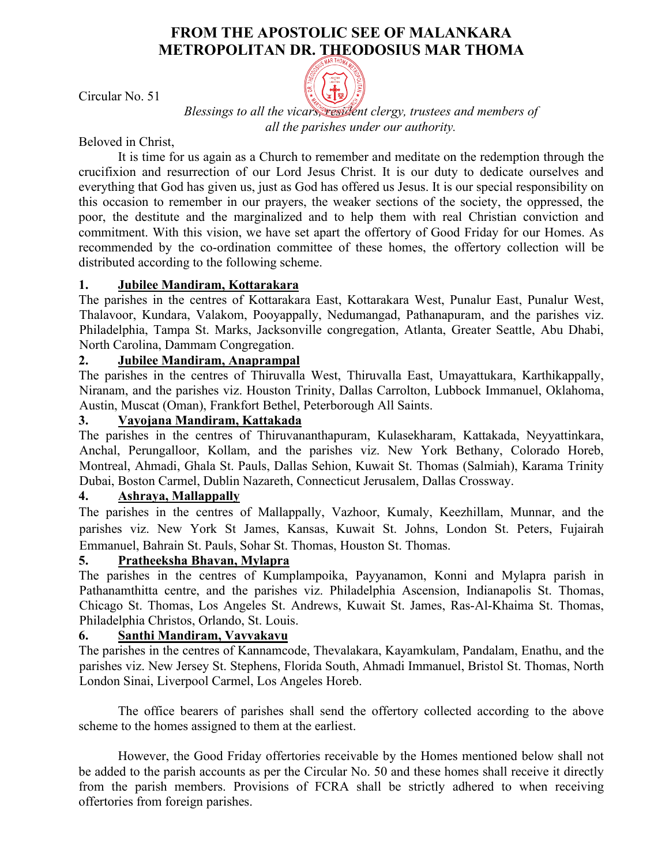# **FROM THE APOSTOLIC SEE OF MALANKARA METROPOLITAN DR. THEODOSIUS MAR THOMA**



Circular No. 51

*Blessings to all the vicars, resident clergy, trustees and members of all the parishes under our authority.*

Beloved in Christ,

It is time for us again as a Church to remember and meditate on the redemption through the crucifixion and resurrection of our Lord Jesus Christ. It is our duty to dedicate ourselves and everything that God has given us, just as God has offered us Jesus. It is our special responsibility on this occasion to remember in our prayers, the weaker sections of the society, the oppressed, the poor, the destitute and the marginalized and to help them with real Christian conviction and commitment. With this vision, we have set apart the offertory of Good Friday for our Homes. As recommended by the co-ordination committee of these homes, the offertory collection will be distributed according to the following scheme.

## **1. Jubilee Mandiram, Kottarakara**

The parishes in the centres of Kottarakara East, Kottarakara West, Punalur East, Punalur West, Thalavoor, Kundara, Valakom, Pooyappally, Nedumangad, Pathanapuram, and the parishes viz. Philadelphia, Tampa St. Marks, Jacksonville congregation, Atlanta, Greater Seattle, Abu Dhabi, North Carolina, Dammam Congregation.

# **2. Jubilee Mandiram, Anaprampal**

The parishes in the centres of Thiruvalla West, Thiruvalla East, Umayattukara, Karthikappally, Niranam, and the parishes viz. Houston Trinity, Dallas Carrolton, Lubbock Immanuel, Oklahoma, Austin, Muscat (Oman), Frankfort Bethel, Peterborough All Saints.

# **3. Vayojana Mandiram, Kattakada**

The parishes in the centres of Thiruvananthapuram, Kulasekharam, Kattakada, Neyyattinkara, Anchal, Perungalloor, Kollam, and the parishes viz. New York Bethany, Colorado Horeb, Montreal, Ahmadi, Ghala St. Pauls, Dallas Sehion, Kuwait St. Thomas (Salmiah), Karama Trinity Dubai, Boston Carmel, Dublin Nazareth, Connecticut Jerusalem, Dallas Crossway.

## **4. Ashraya, Mallappally**

The parishes in the centres of Mallappally, Vazhoor, Kumaly, Keezhillam, Munnar, and the parishes viz. New York St James, Kansas, Kuwait St. Johns, London St. Peters, Fujairah Emmanuel, Bahrain St. Pauls, Sohar St. Thomas, Houston St. Thomas.

## **5. Pratheeksha Bhavan, Mylapra**

The parishes in the centres of Kumplampoika, Payyanamon, Konni and Mylapra parish in Pathanamthitta centre, and the parishes viz. Philadelphia Ascension, Indianapolis St. Thomas, Chicago St. Thomas, Los Angeles St. Andrews, Kuwait St. James, Ras-Al-Khaima St. Thomas, Philadelphia Christos, Orlando, St. Louis.

# **6. Santhi Mandiram, Vavvakavu**

The parishes in the centres of Kannamcode, Thevalakara, Kayamkulam, Pandalam, Enathu, and the parishes viz. New Jersey St. Stephens, Florida South, Ahmadi Immanuel, Bristol St. Thomas, North London Sinai, Liverpool Carmel, Los Angeles Horeb.

The office bearers of parishes shall send the offertory collected according to the above scheme to the homes assigned to them at the earliest.

However, the Good Friday offertories receivable by the Homes mentioned below shall not be added to the parish accounts as per the Circular No. 50 and these homes shall receive it directly from the parish members. Provisions of FCRA shall be strictly adhered to when receiving offertories from foreign parishes.